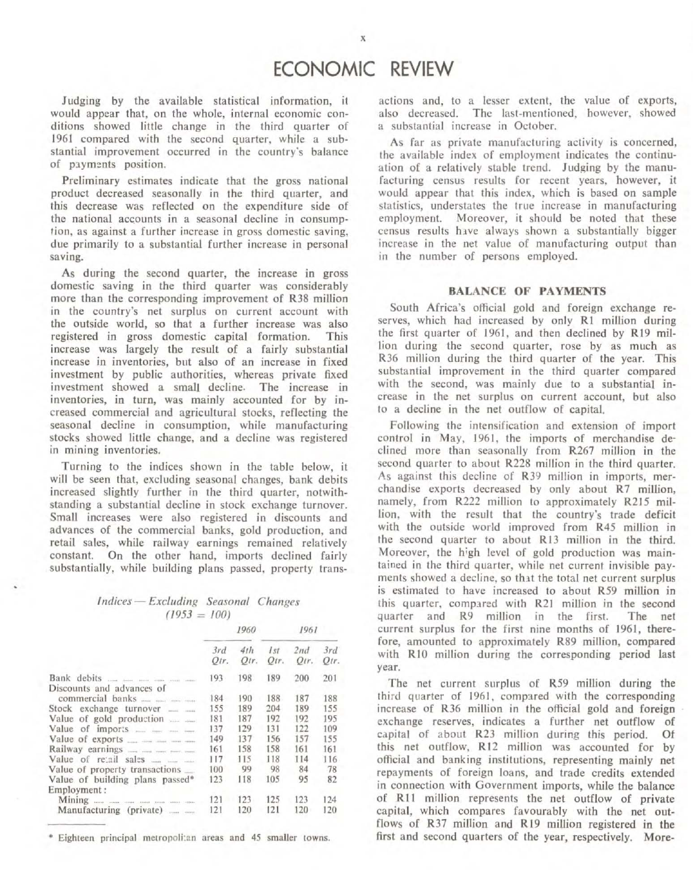Judging by the available statistical information, it would appear that, on the whole, internal economic conditions showed little change in the third quarter of 1961 compared with the second quarter, while a substantial improvement occurred in the country's balance of payments position.

Preliminary estimates indicate that the gross national product decreased seasonally in the third quarter, and this decrease was reflected on the expenditure side of the national accounts in a seasonal decline in consumption, as against a further increase in gross domestic saving, due primarily to a substantial further increase in personal saving.

As during the second quarter, the increase in gross domestic saving in the third quarter was considerably more than the corresponding improvement of R38 million in the country's net surplus on current account with the outside world, so that a further increase was also registered in gross domestic capital formation. This increase was largely the result of a fairly substantial increase in inventories, but also of an increase in fixed investment by public authorities, whereas private fixed investment showed a small decline. The increase in inventories, in turn, was mainly accounted for by increased commercial and agricultural stocks, reflecting the seasonal decline in consumption, while manufacturing stocks showed little change, and a decline was registered in mining inventories.

Turning to the indices shown in the table below, it will be seen that, excluding seasonal changes, bank debits increased slightly further in the third quarter, notwithstanding a substantial decline in stock exchange turnover. Small increases were also registered in discounts and advances of the commercial banks, gold production, and retail sales, while railway earnings remained relatively constant. On the other hand, imports declined fairly substantially, while building plans passed, property trans-

# Indices - Excluding Seasonal Changes  $(1953 = 100)$

 $1050$ 

 $1051$ 

|                                         | ,,,,,       |             |                         |                 |             |
|-----------------------------------------|-------------|-------------|-------------------------|-----------------|-------------|
|                                         | 3rd<br>Otr. | 4th<br>Otr. | I <sub>st</sub><br>Otr. | 2nd<br>$O(r)$ . | 3rd<br>Otr. |
| Discounts and advances of               | 193         | 198         | 189                     | 200             | 201         |
| commercial banks                        | 184         | 190         | 188                     | 187             | 188         |
| Stock exchange turnover<br><b>GALLA</b> | 155         | 189         | 204                     | 189             | 155         |
| Value of gold production                | 181         | 187         | 192                     | 192             | 195         |
|                                         | 137         | 129         | 131                     | 122             | 109         |
| Value of exports                        | 149         | 137         | 156                     | 157             | 155         |
|                                         | 161         | 158         | 158                     | 161             | 161         |
|                                         | 117         | 115         | 118                     | 114             | 116         |
| Value of property transactions          | 100         | 99          | 98                      | 84              | 78          |
| Value of building plans passed*         | 123         | 118         | 105                     | 95              | 82          |
| Employment:                             |             |             |                         |                 |             |
|                                         | 121         | 123         | 125                     | 123             | 124         |
| Manufacturing (private)                 | 121         | 120         | 121                     | 120             | 120         |
|                                         |             |             |                         |                 |             |

\* Eighteen principal metropolitan areas and 45 smaller towns.

actions and, to a lesser extent, the value of exports, also decreased. The last-mentioned, however, showed a substantial increase in October.

As far as private manufacturing activity is concerned, the available index of employment indicates the continuation of a relatively stable trend. Judging by the manufacturing census results for recent years, however, it would appear that this index, which is based on sample statistics, understates the true increase in manufacturing employment. Moreover, it should be noted that these census results have always shown a substantially bigger increase in the net value of manufacturing output than in the number of persons employed.

#### **BALANCE OF PAYMENTS**

South Africa's official gold and foreign exchange reserves, which had increased by only R1 million during the first quarter of 1961, and then declined by R19 million during the second quarter, rose by as much as R36 million during the third quarter of the year. This substantial improvement in the third quarter compared with the second, was mainly due to a substantial increase in the net surplus on current account, but also to a decline in the net outflow of capital.

Following the intensification and extension of import control in May, 1961, the imports of merchandise declined more than seasonally from R267 million in the second quarter to about R228 million in the third quarter. As against this decline of R39 million in imports, merchandise exports decreased by only about R7 million, namely, from R222 million to approximately R215 million, with the result that the country's trade deficit with the outside world improved from R45 million in the second quarter to about R13 million in the third. Moreover, the high level of gold production was maintained in the third quarter, while net current invisible payments showed a decline, so that the total net current surplus is estimated to have increased to about R59 million in this quarter, compared with R21 million in the second quarter and R9 million in the first. The net current surplus for the first nine months of 1961, therefore, amounted to approximately R89 million, compared with R10 million during the corresponding period last year.

The net current surplus of R59 million during the third quarter of 1961, compared with the corresponding increase of R36 million in the official gold and foreign exchange reserves, indicates a further net outflow of capital of about R23 million during this period. **Of** this net outflow, R12 million was accounted for by official and banking institutions, representing mainly net repayments of foreign loans, and trade credits extended in connection with Government imports, while the balance of R11 million represents the net outflow of private capital, which compares favourably with the net outflows of R37 million and R19 million registered in the first and second quarters of the year, respectively. More-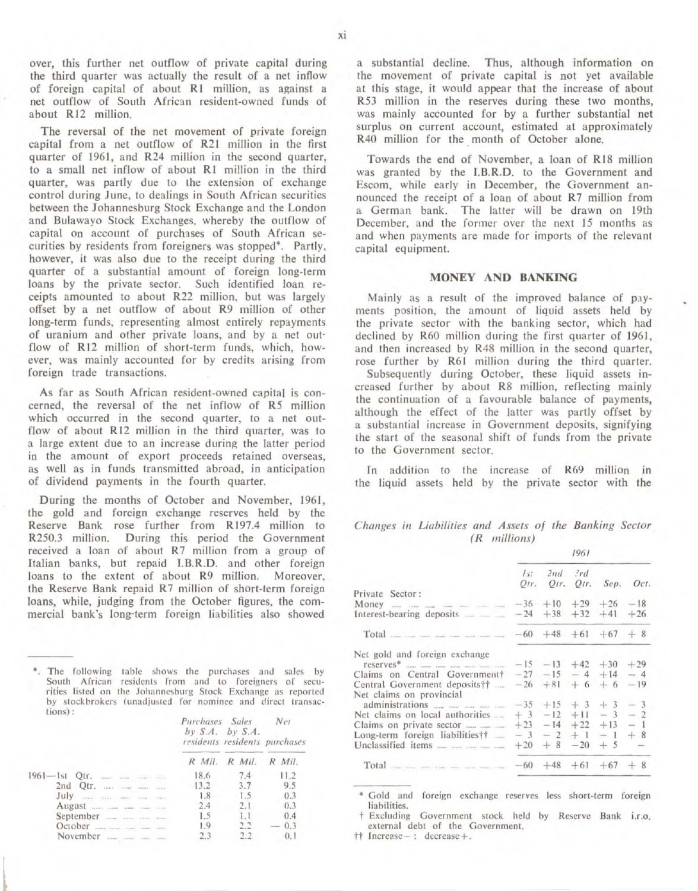over, this further net outflow of private capital during the third quarter was actually the result of a net inflow of foreign capital of about R1 million, as against a net outflow of South African resident-owned funds of about R12 million.

The reversal of the net movement of private foreign capital from a net outflow of R21 million in the first quarter of 1961, and R24 million in the second quarter, to a small net inflow of about R1 million in the third quarter, was partly due to the extension of exchange control during June, to dealings in South African securities between the Johannesburg Stock Exchange and the London and Bulawayo Stock Exchanges, whereby the outflow of capital On account of purchases of South African se· curities by residents from foreigners was stopped<sup>\*</sup>. Partly, however, it was also due to the receipt during the third quarter of a substantial amount of foreign long.term loans by the private sector. Such identified loan re· ceipts amounted to about R22 million, but was largely offset by a net outflow of about R9 million of other long-term funds. representing almost entirely repayments of uranium and other private loans, and by a net outflow of R12 million of short-term funds, which, however, was mainly accounted for by credits arising from foreign trade transactions.

As far as South African resident·owned capital is con· cerned, the reversal of the net inflow of R5 million which occurred in the second quarter, to a net outflow of about R12 million in the third quarter, was to a large extent due to an increase during the latter period in the amount of export proceeds retained overseas, as well as in funds transmitted abroad, in anticipation of dividend payments in the fourth quarter.

During the months of October and November, 1961, the gold and foreign exchange reserves held by the Reserve Bank rose further from R197.4 million to R250.3 million. During this period the Government received a loan of about R7 million from a group of Italian banks, but repaid I.B.R.D. and other foreign loans to the extent of about R9 million. Moreover, the Reserve Bank repaid R7 million of short-term foreign loans, while, judging from the October figures, the commercial bank's long-term foreign liabilities also showed

\*. The following table shows the purchases and sales by South African residents from and to foreigners of securities listed on the Johannesburg Stock Exchange as reported by stockbrokers (unadjusted for nominee and direct transactions) :

Purchases Sales Net

|                                                     |          | by $S.A.$ by $S.A.$ |        | residents residents purchases |  |
|-----------------------------------------------------|----------|---------------------|--------|-------------------------------|--|
|                                                     | $R$ Mil. | R Mil.              | R Mil. |                               |  |
| time                                                | 18.6     | 7.4                 | 11.2   |                               |  |
| 2nd<br>Qtr.<br>$\cdots$<br>sivers.<br><b>Greene</b> | 13.2     | 3.7                 | 9.5    |                               |  |
| July<br>Titled Titlers (1999) Titles (1999)         | 1.8      | 1.5                 | 0.3    |                               |  |
| August                                              | 2.4      | 2.1                 | 0.3    |                               |  |
| September                                           | 1.5      |                     | 0.4    |                               |  |
| <b><i><u>States</u></i></b>                         | 1.9      |                     | 0.3    |                               |  |
|                                                     |          |                     | 0.1    |                               |  |

a substantial decline. Thus, although information on the movement of private capital is not yet available at this stage, it would appear that the increase of about RS3 million in the reserves during these two months, was mainly accounted for by a further substantial net surplus on current account, estimated at approximately R40 million for the month of October alone.

Towards the end of November, a loan of RI8 million was granted by the J.B.R.D. to the Government and Escom, while early in December, the Government an· nounced the receipt of a loan of about R7 million from a German bank. The latter will be drawn on 19th December, and the former over the next 15 months as and when payments are made for imports of the relevant capital equipment.

### MONEY AND BANKING

Mainly as a result of the improved balance of payments position, the amount of liquid assets held by the private sector with the banking sector, which had declined by R60 million during the first quarter of 1961, and then increased by R48 million in the second quarter, rose further by R61 million during the third quarter. Subsequently during October, these liquid assets increased further by about R8 million, reflecting mainly the continuation of a favourable balance of payments, although the effect of the latter was partly offset by a substantial increase in Government deposits, signifying the start of the seasonal shift of funds from the private to the Government sector.

In addition to the increase of R69 million in the liquid assets held by the private sector with the

*Changes in Liabilities and Assets of the Banking Sector* (R *millions)* 

|                                                | 1961 |                           |  |       |                          |
|------------------------------------------------|------|---------------------------|--|-------|--------------------------|
|                                                | Is:  | $2nd$ $2rd$               |  |       | Qtr. Qtr. Qtr. Sep. Oct. |
| Private Sector:                                |      |                           |  |       |                          |
|                                                |      | $-36 + 10 + 29 + 26 -18$  |  |       |                          |
|                                                |      | $-24 + 38 + 32 + 41 + 26$ |  |       |                          |
| Total same same sure user some same same sures |      | $-60 +48 +61 +67 +8$      |  |       |                          |
| Net gold and foreign exchange                  |      | $-15 -13 +42 +30$         |  |       | $+29$                    |
| Claims on Central Government†                  |      | $-27 -15 -4 +14$          |  |       | $-4$                     |
|                                                |      | $-26 + 81 + 6 + 6$        |  |       | $-19$                    |
| Central Government deposits††                  |      |                           |  |       |                          |
| Net claims on provincial                       |      | $-35 + 15 + 3 + 3$        |  |       | $-3$                     |
| Net claims on local authorities                |      | $+3$ -12 +11 - 3          |  |       | $-2$                     |
|                                                |      | $+23 -14 +22$             |  | $+13$ | $-1$                     |
| Long-term foreign liabilities††                |      | $-3$ $-2$ $+1$ $-1$       |  |       | $+8$                     |
|                                                |      | $+20 + 8 -20 + 5$         |  |       | $\sim$                   |
|                                                |      | $-60 + 48 + 61 + 67 + 8$  |  |       |                          |
|                                                |      |                           |  |       |                          |

• Gold and foreign exchange reserves less short·term foreign liabilities.

t Excluding Government stock held by Reserve Bank i.r.o. external debt of the Government.

tt Increase-: decrease+.